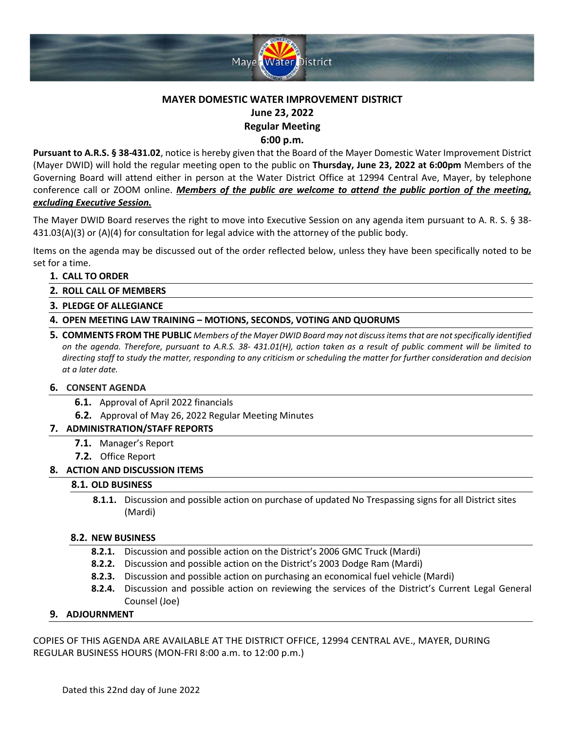

# **MAYER DOMESTIC WATER IMPROVEMENT DISTRICT June 23, 2022 Regular Meeting**

**6:00 p.m.**

**Pursuant to A.R.S. § 38‐431.02**, notice is hereby given that the Board of the Mayer Domestic Water Improvement District (Mayer DWID) will hold the regular meeting open to the public on **Thursday, June 23, 2022 at 6:00pm** Members of the Governing Board will attend either in person at the Water District Office at 12994 Central Ave, Mayer, by telephone conference call or ZOOM online. *Members of the public are welcome to attend the public portion of the meeting, excluding Executive Session.*

The Mayer DWID Board reserves the right to move into Executive Session on any agenda item pursuant to A. R. S. § 38- 431.03(A)(3) or (A)(4) for consultation for legal advice with the attorney of the public body.

Items on the agenda may be discussed out of the order reflected below, unless they have been specifically noted to be set for a time.

## **1. CALL TO ORDER**

- **2. ROLL CALL OF MEMBERS**
- **3. PLEDGE OF ALLEGIANCE**
- **4. OPEN MEETING LAW TRAINING – MOTIONS, SECONDS, VOTING AND QUORUMS**
- **5. COMMENTS FROM THE PUBLIC** *Members of the Mayer DWID Board may not discuss items that are not specifically identified on the agenda. Therefore, pursuant to A.R.S. 38- 431.01(H), action taken as a result of public comment will be limited to directing staff to study the matter, responding to any criticism or scheduling the matter for further consideration and decision at a later date.*

### **6. CONSENT AGENDA**

- **6.1.** Approval of April 2022 financials
- **6.2.** Approval of May 26, 2022 Regular Meeting Minutes

### **7. ADMINISTRATION/STAFF REPORTS**

- **7.1.** Manager's Report
- **7.2.** Office Report

### **8. ACTION AND DISCUSSION ITEMS**

### **8.1. OLD BUSINESS**

**8.1.1.** Discussion and possible action on purchase of updated No Trespassing signs for all District sites (Mardi)

### **8.2. NEW BUSINESS**

- **8.2.1.** Discussion and possible action on the District's 2006 GMC Truck (Mardi)
- **8.2.2.** Discussion and possible action on the District's 2003 Dodge Ram (Mardi)
- **8.2.3.** Discussion and possible action on purchasing an economical fuel vehicle (Mardi)
- **8.2.4.** Discussion and possible action on reviewing the services of the District's Current Legal General Counsel (Joe)

### **9. ADJOURNMENT**

COPIES OF THIS AGENDA ARE AVAILABLE AT THE DISTRICT OFFICE, 12994 CENTRAL AVE., MAYER, DURING REGULAR BUSINESS HOURS (MON-FRI 8:00 a.m. to 12:00 p.m.)